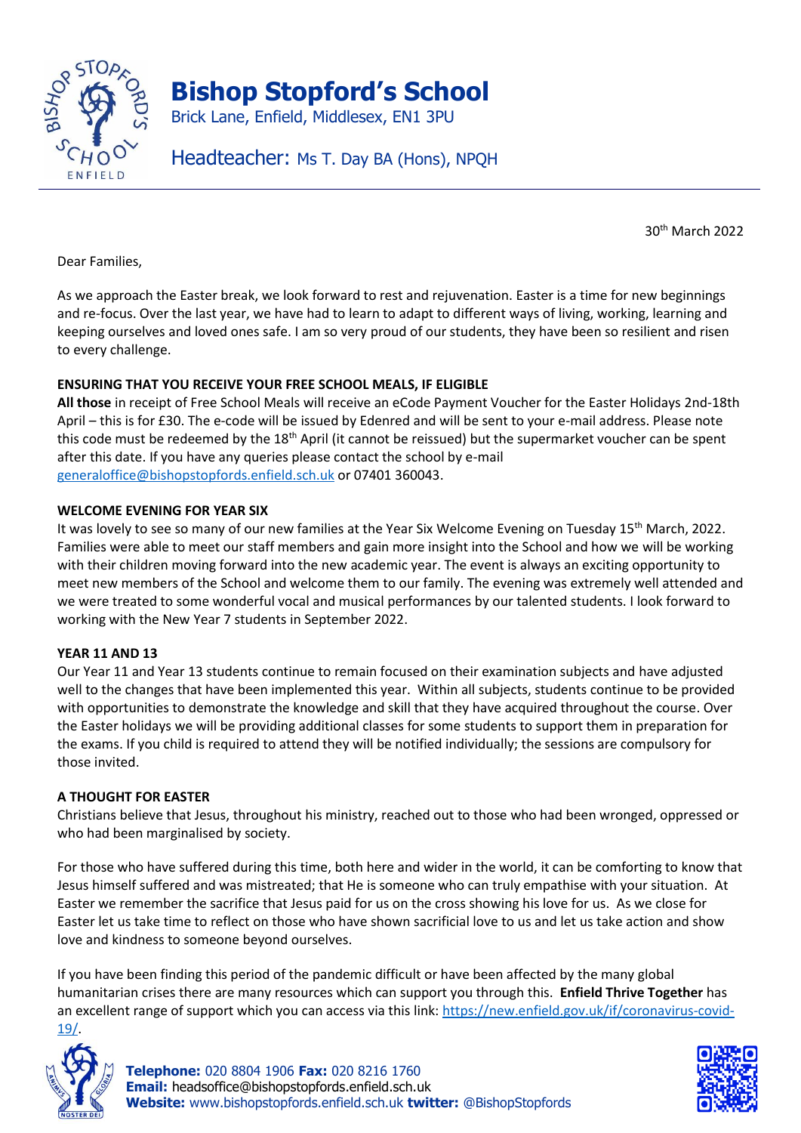

30th March 2022

Dear Families,

As we approach the Easter break, we look forward to rest and rejuvenation. Easter is a time for new beginnings and re-focus. Over the last year, we have had to learn to adapt to different ways of living, working, learning and keeping ourselves and loved ones safe. I am so very proud of our students, they have been so resilient and risen to every challenge.

# **ENSURING THAT YOU RECEIVE YOUR FREE SCHOOL MEALS, IF ELIGIBLE**

**All those** in receipt of Free School Meals will receive an eCode Payment Voucher for the Easter Holidays 2nd-18th April – this is for £30. The e-code will be issued by Edenred and will be sent to your e-mail address. Please note this code must be redeemed by the 18<sup>th</sup> April (it cannot be reissued) but the supermarket voucher can be spent after this date. If you have any queries please contact the school by e-mail [generaloffice@bishopstopfords.enfield.sch.uk](mailto:generaloffice@bishopstopfords.enfield.sch.uk) or 07401 360043.

### **WELCOME EVENING FOR YEAR SIX**

It was lovely to see so many of our new families at the Year Six Welcome Evening on Tuesday 15<sup>th</sup> March, 2022. Families were able to meet our staff members and gain more insight into the School and how we will be working with their children moving forward into the new academic year. The event is always an exciting opportunity to meet new members of the School and welcome them to our family. The evening was extremely well attended and we were treated to some wonderful vocal and musical performances by our talented students. I look forward to working with the New Year 7 students in September 2022.

#### **YEAR 11 AND 13**

Our Year 11 and Year 13 students continue to remain focused on their examination subjects and have adjusted well to the changes that have been implemented this year. Within all subjects, students continue to be provided with opportunities to demonstrate the knowledge and skill that they have acquired throughout the course. Over the Easter holidays we will be providing additional classes for some students to support them in preparation for the exams. If you child is required to attend they will be notified individually; the sessions are compulsory for those invited.

#### **A THOUGHT FOR EASTER**

Christians believe that Jesus, throughout his ministry, reached out to those who had been wronged, oppressed or who had been marginalised by society.

For those who have suffered during this time, both here and wider in the world, it can be comforting to know that Jesus himself suffered and was mistreated; that He is someone who can truly empathise with your situation. At Easter we remember the sacrifice that Jesus paid for us on the cross showing his love for us. As we close for Easter let us take time to reflect on those who have shown sacrificial love to us and let us take action and show love and kindness to someone beyond ourselves.

If you have been finding this period of the pandemic difficult or have been affected by the many global humanitarian crises there are many resources which can support you through this. **Enfield Thrive Together** has an excellent range of support which you can access via this link: [https://new.enfield.gov.uk/if/coronavirus-covid-](https://new.enfield.gov.uk/if/coronavirus-covid-19/)[19/.](https://new.enfield.gov.uk/if/coronavirus-covid-19/)